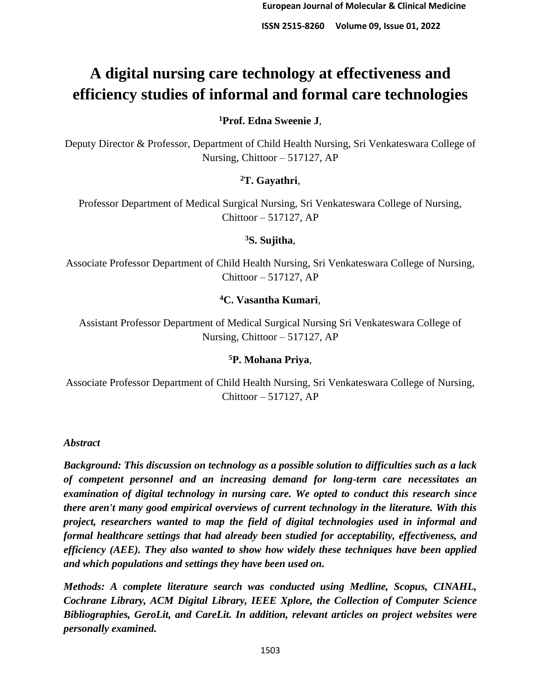# **A digital nursing care technology at effectiveness and efficiency studies of informal and formal care technologies**

# **<sup>1</sup>Prof. Edna Sweenie J**,

Deputy Director & Professor, Department of Child Health Nursing, Sri Venkateswara College of Nursing, Chittoor – 517127, AP

# **<sup>2</sup>T. Gayathri**,

Professor Department of Medical Surgical Nursing, Sri Venkateswara College of Nursing, Chittoor – 517127, AP

## **<sup>3</sup>S. Sujitha**,

Associate Professor Department of Child Health Nursing, Sri Venkateswara College of Nursing, Chittoor – 517127, AP

# **<sup>4</sup>C. Vasantha Kumari**,

Assistant Professor Department of Medical Surgical Nursing Sri Venkateswara College of Nursing, Chittoor – 517127, AP

## **<sup>5</sup>P. Mohana Priya**,

Associate Professor Department of Child Health Nursing, Sri Venkateswara College of Nursing, Chittoor – 517127, AP

## *Abstract*

*Background: This discussion on technology as a possible solution to difficulties such as a lack of competent personnel and an increasing demand for long-term care necessitates an examination of digital technology in nursing care. We opted to conduct this research since there aren't many good empirical overviews of current technology in the literature. With this project, researchers wanted to map the field of digital technologies used in informal and formal healthcare settings that had already been studied for acceptability, effectiveness, and efficiency (AEE). They also wanted to show how widely these techniques have been applied and which populations and settings they have been used on.*

*Methods: A complete literature search was conducted using Medline, Scopus, CINAHL, Cochrane Library, ACM Digital Library, IEEE Xplore, the Collection of Computer Science Bibliographies, GeroLit, and CareLit. In addition, relevant articles on project websites were personally examined.*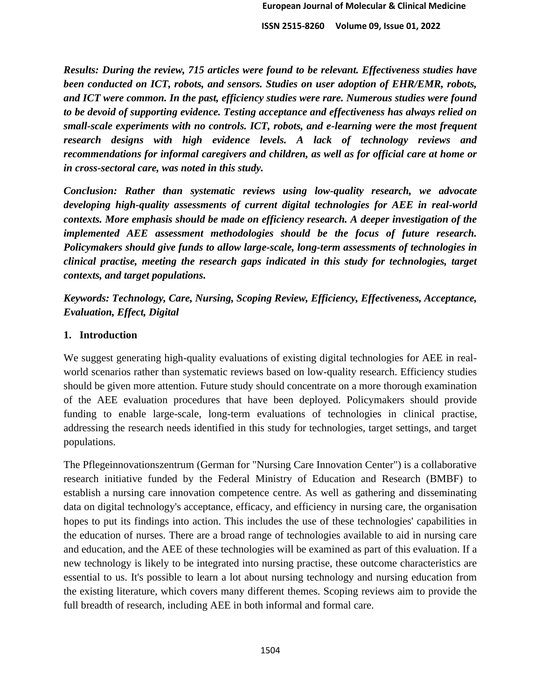*Results: During the review, 715 articles were found to be relevant. Effectiveness studies have been conducted on ICT, robots, and sensors. Studies on user adoption of EHR/EMR, robots, and ICT were common. In the past, efficiency studies were rare. Numerous studies were found to be devoid of supporting evidence. Testing acceptance and effectiveness has always relied on small-scale experiments with no controls. ICT, robots, and e-learning were the most frequent research designs with high evidence levels. A lack of technology reviews and recommendations for informal caregivers and children, as well as for official care at home or in cross-sectoral care, was noted in this study.*

*Conclusion: Rather than systematic reviews using low-quality research, we advocate developing high-quality assessments of current digital technologies for AEE in real-world contexts. More emphasis should be made on efficiency research. A deeper investigation of the implemented AEE assessment methodologies should be the focus of future research. Policymakers should give funds to allow large-scale, long-term assessments of technologies in clinical practise, meeting the research gaps indicated in this study for technologies, target contexts, and target populations.* 

*Keywords: Technology, Care, Nursing, Scoping Review, Efficiency, Effectiveness, Acceptance, Evaluation, Effect, Digital*

### **1. Introduction**

We suggest generating high-quality evaluations of existing digital technologies for AEE in realworld scenarios rather than systematic reviews based on low-quality research. Efficiency studies should be given more attention. Future study should concentrate on a more thorough examination of the AEE evaluation procedures that have been deployed. Policymakers should provide funding to enable large-scale, long-term evaluations of technologies in clinical practise, addressing the research needs identified in this study for technologies, target settings, and target populations.

The Pflegeinnovationszentrum (German for "Nursing Care Innovation Center") is a collaborative research initiative funded by the Federal Ministry of Education and Research (BMBF) to establish a nursing care innovation competence centre. As well as gathering and disseminating data on digital technology's acceptance, efficacy, and efficiency in nursing care, the organisation hopes to put its findings into action. This includes the use of these technologies' capabilities in the education of nurses. There are a broad range of technologies available to aid in nursing care and education, and the AEE of these technologies will be examined as part of this evaluation. If a new technology is likely to be integrated into nursing practise, these outcome characteristics are essential to us. It's possible to learn a lot about nursing technology and nursing education from the existing literature, which covers many different themes. Scoping reviews aim to provide the full breadth of research, including AEE in both informal and formal care.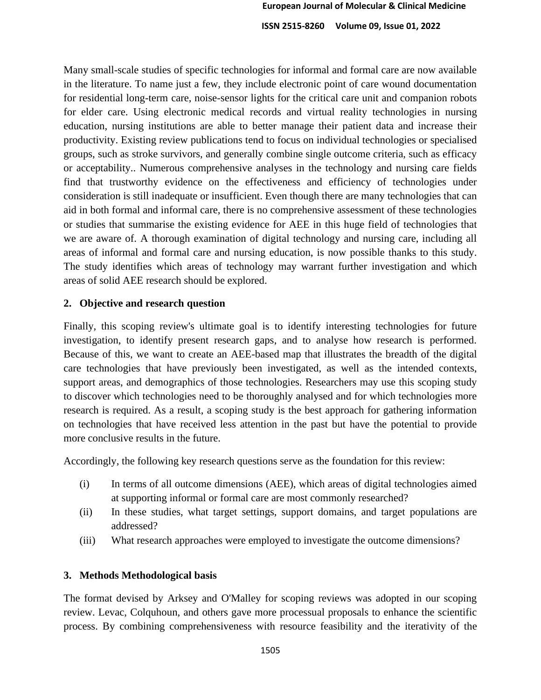Many small-scale studies of specific technologies for informal and formal care are now available in the literature. To name just a few, they include electronic point of care wound documentation for residential long-term care, noise-sensor lights for the critical care unit and companion robots for elder care. Using electronic medical records and virtual reality technologies in nursing education, nursing institutions are able to better manage their patient data and increase their productivity. Existing review publications tend to focus on individual technologies or specialised groups, such as stroke survivors, and generally combine single outcome criteria, such as efficacy or acceptability.. Numerous comprehensive analyses in the technology and nursing care fields find that trustworthy evidence on the effectiveness and efficiency of technologies under consideration is still inadequate or insufficient. Even though there are many technologies that can aid in both formal and informal care, there is no comprehensive assessment of these technologies or studies that summarise the existing evidence for AEE in this huge field of technologies that we are aware of. A thorough examination of digital technology and nursing care, including all areas of informal and formal care and nursing education, is now possible thanks to this study. The study identifies which areas of technology may warrant further investigation and which areas of solid AEE research should be explored.

#### **2. Objective and research question**

Finally, this scoping review's ultimate goal is to identify interesting technologies for future investigation, to identify present research gaps, and to analyse how research is performed. Because of this, we want to create an AEE-based map that illustrates the breadth of the digital care technologies that have previously been investigated, as well as the intended contexts, support areas, and demographics of those technologies. Researchers may use this scoping study to discover which technologies need to be thoroughly analysed and for which technologies more research is required. As a result, a scoping study is the best approach for gathering information on technologies that have received less attention in the past but have the potential to provide more conclusive results in the future.

Accordingly, the following key research questions serve as the foundation for this review:

- (i) In terms of all outcome dimensions (AEE), which areas of digital technologies aimed at supporting informal or formal care are most commonly researched?
- (ii) In these studies, what target settings, support domains, and target populations are addressed?
- (iii) What research approaches were employed to investigate the outcome dimensions?

#### **3. Methods Methodological basis**

The format devised by Arksey and O'Malley for scoping reviews was adopted in our scoping review. Levac, Colquhoun, and others gave more processual proposals to enhance the scientific process. By combining comprehensiveness with resource feasibility and the iterativity of the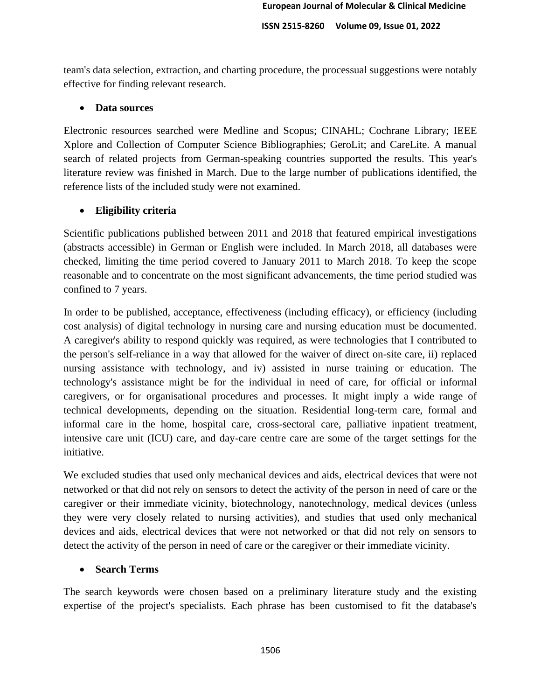team's data selection, extraction, and charting procedure, the processual suggestions were notably effective for finding relevant research.

## • **Data sources**

Electronic resources searched were Medline and Scopus; CINAHL; Cochrane Library; IEEE Xplore and Collection of Computer Science Bibliographies; GeroLit; and CareLite. A manual search of related projects from German-speaking countries supported the results. This year's literature review was finished in March. Due to the large number of publications identified, the reference lists of the included study were not examined.

# • **Eligibility criteria**

Scientific publications published between 2011 and 2018 that featured empirical investigations (abstracts accessible) in German or English were included. In March 2018, all databases were checked, limiting the time period covered to January 2011 to March 2018. To keep the scope reasonable and to concentrate on the most significant advancements, the time period studied was confined to 7 years.

In order to be published, acceptance, effectiveness (including efficacy), or efficiency (including cost analysis) of digital technology in nursing care and nursing education must be documented. A caregiver's ability to respond quickly was required, as were technologies that I contributed to the person's self-reliance in a way that allowed for the waiver of direct on-site care, ii) replaced nursing assistance with technology, and iv) assisted in nurse training or education. The technology's assistance might be for the individual in need of care, for official or informal caregivers, or for organisational procedures and processes. It might imply a wide range of technical developments, depending on the situation. Residential long-term care, formal and informal care in the home, hospital care, cross-sectoral care, palliative inpatient treatment, intensive care unit (ICU) care, and day-care centre care are some of the target settings for the initiative.

We excluded studies that used only mechanical devices and aids, electrical devices that were not networked or that did not rely on sensors to detect the activity of the person in need of care or the caregiver or their immediate vicinity, biotechnology, nanotechnology, medical devices (unless they were very closely related to nursing activities), and studies that used only mechanical devices and aids, electrical devices that were not networked or that did not rely on sensors to detect the activity of the person in need of care or the caregiver or their immediate vicinity.

# • **Search Terms**

The search keywords were chosen based on a preliminary literature study and the existing expertise of the project's specialists. Each phrase has been customised to fit the database's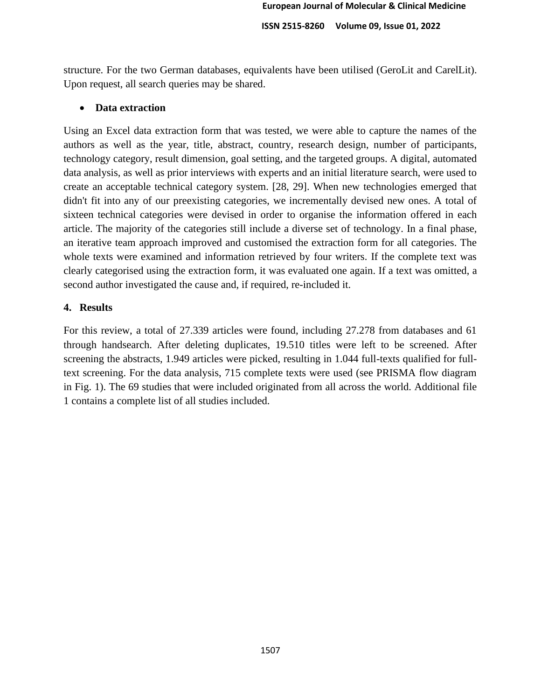structure. For the two German databases, equivalents have been utilised (GeroLit and CarelLit). Upon request, all search queries may be shared.

## • **Data extraction**

Using an Excel data extraction form that was tested, we were able to capture the names of the authors as well as the year, title, abstract, country, research design, number of participants, technology category, result dimension, goal setting, and the targeted groups. A digital, automated data analysis, as well as prior interviews with experts and an initial literature search, were used to create an acceptable technical category system. [28, 29]. When new technologies emerged that didn't fit into any of our preexisting categories, we incrementally devised new ones. A total of sixteen technical categories were devised in order to organise the information offered in each article. The majority of the categories still include a diverse set of technology. In a final phase, an iterative team approach improved and customised the extraction form for all categories. The whole texts were examined and information retrieved by four writers. If the complete text was clearly categorised using the extraction form, it was evaluated one again. If a text was omitted, a second author investigated the cause and, if required, re-included it.

## **4. Results**

For this review, a total of 27.339 articles were found, including 27.278 from databases and 61 through handsearch. After deleting duplicates, 19.510 titles were left to be screened. After screening the abstracts, 1.949 articles were picked, resulting in 1.044 full-texts qualified for fulltext screening. For the data analysis, 715 complete texts were used (see PRISMA flow diagram in Fig. 1). The 69 studies that were included originated from all across the world. Additional file 1 contains a complete list of all studies included.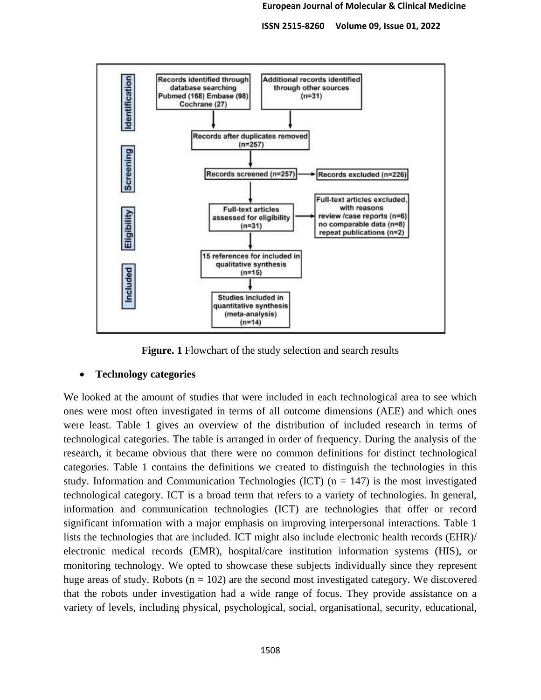

**Figure. 1** Flowchart of the study selection and search results

#### • **Technology categories**

We looked at the amount of studies that were included in each technological area to see which ones were most often investigated in terms of all outcome dimensions (AEE) and which ones were least. Table 1 gives an overview of the distribution of included research in terms of technological categories. The table is arranged in order of frequency. During the analysis of the research, it became obvious that there were no common definitions for distinct technological categories. Table 1 contains the definitions we created to distinguish the technologies in this study. Information and Communication Technologies (ICT)  $(n = 147)$  is the most investigated technological category. ICT is a broad term that refers to a variety of technologies. In general, information and communication technologies (ICT) are technologies that offer or record significant information with a major emphasis on improving interpersonal interactions. Table 1 lists the technologies that are included. ICT might also include electronic health records (EHR)/ electronic medical records (EMR), hospital/care institution information systems (HIS), or monitoring technology. We opted to showcase these subjects individually since they represent huge areas of study. Robots  $(n = 102)$  are the second most investigated category. We discovered that the robots under investigation had a wide range of focus. They provide assistance on a variety of levels, including physical, psychological, social, organisational, security, educational,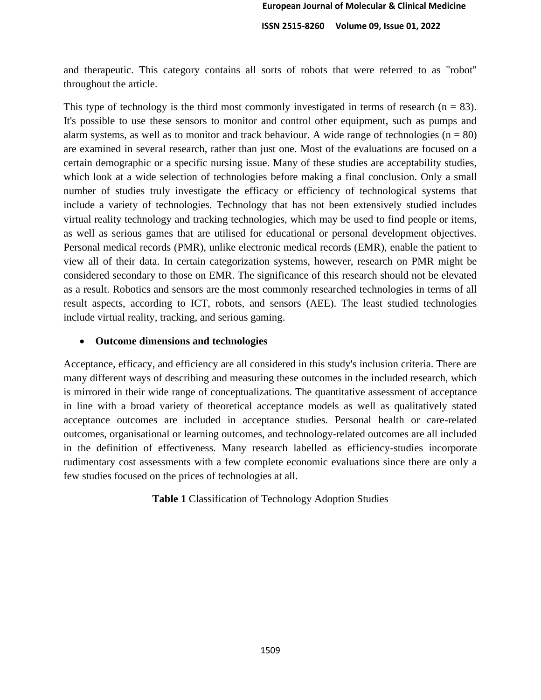and therapeutic. This category contains all sorts of robots that were referred to as "robot" throughout the article.

This type of technology is the third most commonly investigated in terms of research  $(n = 83)$ . It's possible to use these sensors to monitor and control other equipment, such as pumps and alarm systems, as well as to monitor and track behaviour. A wide range of technologies ( $n = 80$ ) are examined in several research, rather than just one. Most of the evaluations are focused on a certain demographic or a specific nursing issue. Many of these studies are acceptability studies, which look at a wide selection of technologies before making a final conclusion. Only a small number of studies truly investigate the efficacy or efficiency of technological systems that include a variety of technologies. Technology that has not been extensively studied includes virtual reality technology and tracking technologies, which may be used to find people or items, as well as serious games that are utilised for educational or personal development objectives. Personal medical records (PMR), unlike electronic medical records (EMR), enable the patient to view all of their data. In certain categorization systems, however, research on PMR might be considered secondary to those on EMR. The significance of this research should not be elevated as a result. Robotics and sensors are the most commonly researched technologies in terms of all result aspects, according to ICT, robots, and sensors (AEE). The least studied technologies include virtual reality, tracking, and serious gaming.

#### • **Outcome dimensions and technologies**

Acceptance, efficacy, and efficiency are all considered in this study's inclusion criteria. There are many different ways of describing and measuring these outcomes in the included research, which is mirrored in their wide range of conceptualizations. The quantitative assessment of acceptance in line with a broad variety of theoretical acceptance models as well as qualitatively stated acceptance outcomes are included in acceptance studies. Personal health or care-related outcomes, organisational or learning outcomes, and technology-related outcomes are all included in the definition of effectiveness. Many research labelled as efficiency-studies incorporate rudimentary cost assessments with a few complete economic evaluations since there are only a few studies focused on the prices of technologies at all.

**Table 1** Classification of Technology Adoption Studies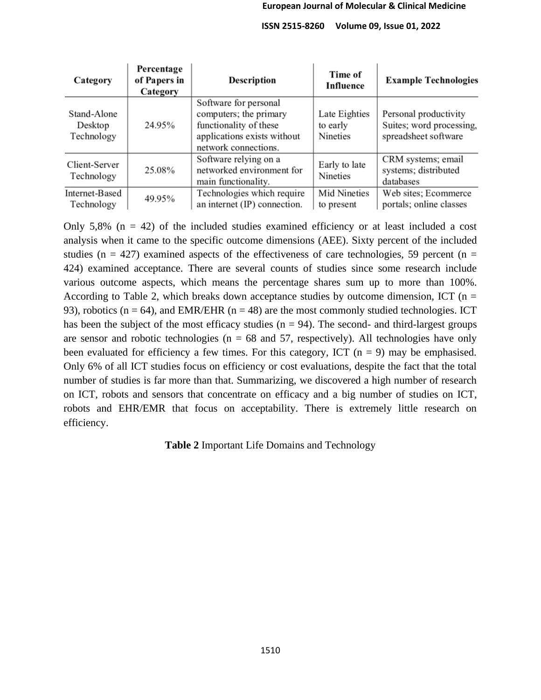| Category                             | Percentage<br>of Papers in<br>Category                                              | Description                                                                                                                      | Time of<br>Influence                  | <b>Example Technologies</b>                                               |  |
|--------------------------------------|-------------------------------------------------------------------------------------|----------------------------------------------------------------------------------------------------------------------------------|---------------------------------------|---------------------------------------------------------------------------|--|
| Stand-Alone<br>Desktop<br>Technology | 24.95%                                                                              | Software for personal<br>computers; the primary<br>functionality of these<br>applications exists without<br>network connections. | Late Eighties<br>to early<br>Nineties | Personal productivity<br>Suites; word processing,<br>spreadsheet software |  |
| Client-Server<br>Technology          | Software relying on a<br>networked environment for<br>25.08%<br>main functionality. |                                                                                                                                  | Early to late<br>Nineties             | CRM systems; email<br>systems; distributed<br>databases                   |  |
| Internet-Based<br>Technology         | 49.95%                                                                              | Technologies which require<br>an internet (IP) connection.                                                                       | Mid Nineties<br>to present            | Web sites; Ecommerce<br>portals; online classes                           |  |

Only 5,8% ( $n = 42$ ) of the included studies examined efficiency or at least included a cost analysis when it came to the specific outcome dimensions (AEE). Sixty percent of the included studies ( $n = 427$ ) examined aspects of the effectiveness of care technologies, 59 percent ( $n =$ 424) examined acceptance. There are several counts of studies since some research include various outcome aspects, which means the percentage shares sum up to more than 100%. According to Table 2, which breaks down acceptance studies by outcome dimension, ICT ( $n =$ 93), robotics ( $n = 64$ ), and EMR/EHR ( $n = 48$ ) are the most commonly studied technologies. ICT has been the subject of the most efficacy studies  $(n = 94)$ . The second- and third-largest groups are sensor and robotic technologies ( $n = 68$  and 57, respectively). All technologies have only been evaluated for efficiency a few times. For this category, ICT  $(n = 9)$  may be emphasised. Only 6% of all ICT studies focus on efficiency or cost evaluations, despite the fact that the total number of studies is far more than that. Summarizing, we discovered a high number of research on ICT, robots and sensors that concentrate on efficacy and a big number of studies on ICT, robots and EHR/EMR that focus on acceptability. There is extremely little research on efficiency.

**Table 2** Important Life Domains and Technology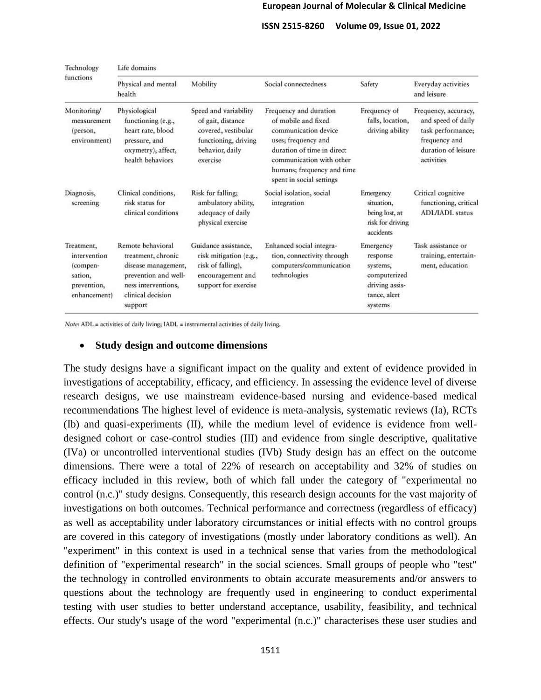#### **European Journal of Molecular & Clinical Medicine**

 **ISSN 2515-8260 Volume 09, Issue 01, 2022**

| Technology<br>functions                                                          | Life domains                                                                                                                                  |                                                                                                                          |                                                                                                                                                                                                                  |                                                                                                |                                                                                                                       |  |  |
|----------------------------------------------------------------------------------|-----------------------------------------------------------------------------------------------------------------------------------------------|--------------------------------------------------------------------------------------------------------------------------|------------------------------------------------------------------------------------------------------------------------------------------------------------------------------------------------------------------|------------------------------------------------------------------------------------------------|-----------------------------------------------------------------------------------------------------------------------|--|--|
|                                                                                  | Physical and mental<br>health                                                                                                                 | Mobility                                                                                                                 | Social connectedness                                                                                                                                                                                             | Safety                                                                                         | Everyday activities<br>and leisure                                                                                    |  |  |
| Monitoring/<br>measurement<br>(person,<br>environment)                           | Physiological<br>functioning (e.g.,<br>heart rate, blood<br>pressure, and<br>oxymetry), affect,<br>health behaviors                           | Speed and variability<br>of gait, distance<br>covered, vestibular<br>functioning, driving<br>behavior, daily<br>exercise | Frequency and duration<br>of mobile and fixed<br>communication device<br>uses; frequency and<br>duration of time in direct<br>communication with other<br>humans; frequency and time<br>spent in social settings | Frequency of<br>falls, location,<br>driving ability                                            | Frequency, accuracy,<br>and speed of daily<br>task performance;<br>frequency and<br>duration of leisure<br>activities |  |  |
| Diagnosis,<br>screening                                                          | Clinical conditions,<br>risk status for<br>clinical conditions                                                                                | Risk for falling;<br>ambulatory ability,<br>adequacy of daily<br>physical exercise                                       | Social isolation, social<br>integration                                                                                                                                                                          | <b>Emergency</b><br>situation,<br>being lost, at<br>risk for driving<br>accidents              | Critical cognitive<br>functioning, critical<br><b>ADL/IADL</b> status                                                 |  |  |
| Treatment,<br>intervention<br>(compen-<br>sation,<br>prevention,<br>enhancement) | Remote behavioral<br>treatment, chronic<br>disease management,<br>prevention and well-<br>ness interventions,<br>clinical decision<br>support | Guidance assistance,<br>risk mitigation (e.g.,<br>risk of falling),<br>encouragement and<br>support for exercise         | Enhanced social integra-<br>tion, connectivity through<br>computers/communication<br>technologies                                                                                                                | Emergency<br>response<br>systems,<br>computerized<br>driving assis-<br>tance, alert<br>systems | Task assistance or<br>training, entertain-<br>ment, education                                                         |  |  |

Note: ADL = activities of daily living; IADL = instrumental activities of daily living.

#### • **Study design and outcome dimensions**

The study designs have a significant impact on the quality and extent of evidence provided in investigations of acceptability, efficacy, and efficiency. In assessing the evidence level of diverse research designs, we use mainstream evidence-based nursing and evidence-based medical recommendations The highest level of evidence is meta-analysis, systematic reviews (Ia), RCTs (Ib) and quasi-experiments (II), while the medium level of evidence is evidence from welldesigned cohort or case-control studies (III) and evidence from single descriptive, qualitative (IVa) or uncontrolled interventional studies (IVb) Study design has an effect on the outcome dimensions. There were a total of 22% of research on acceptability and 32% of studies on efficacy included in this review, both of which fall under the category of "experimental no control (n.c.)" study designs. Consequently, this research design accounts for the vast majority of investigations on both outcomes. Technical performance and correctness (regardless of efficacy) as well as acceptability under laboratory circumstances or initial effects with no control groups are covered in this category of investigations (mostly under laboratory conditions as well). An "experiment" in this context is used in a technical sense that varies from the methodological definition of "experimental research" in the social sciences. Small groups of people who "test" the technology in controlled environments to obtain accurate measurements and/or answers to questions about the technology are frequently used in engineering to conduct experimental testing with user studies to better understand acceptance, usability, feasibility, and technical effects. Our study's usage of the word "experimental (n.c.)" characterises these user studies and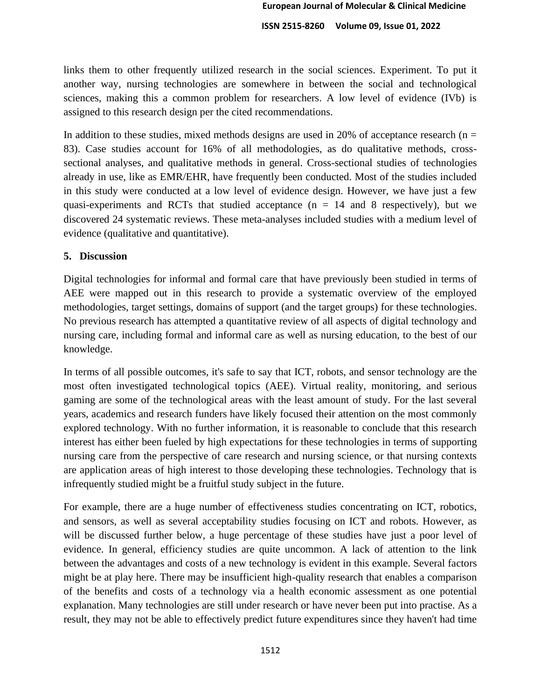links them to other frequently utilized research in the social sciences. Experiment. To put it another way, nursing technologies are somewhere in between the social and technological sciences, making this a common problem for researchers. A low level of evidence (IVb) is assigned to this research design per the cited recommendations.

In addition to these studies, mixed methods designs are used in 20% of acceptance research ( $n =$ 83). Case studies account for 16% of all methodologies, as do qualitative methods, crosssectional analyses, and qualitative methods in general. Cross-sectional studies of technologies already in use, like as EMR/EHR, have frequently been conducted. Most of the studies included in this study were conducted at a low level of evidence design. However, we have just a few quasi-experiments and RCTs that studied acceptance  $(n = 14$  and 8 respectively), but we discovered 24 systematic reviews. These meta-analyses included studies with a medium level of evidence (qualitative and quantitative).

#### **5. Discussion**

Digital technologies for informal and formal care that have previously been studied in terms of AEE were mapped out in this research to provide a systematic overview of the employed methodologies, target settings, domains of support (and the target groups) for these technologies. No previous research has attempted a quantitative review of all aspects of digital technology and nursing care, including formal and informal care as well as nursing education, to the best of our knowledge.

In terms of all possible outcomes, it's safe to say that ICT, robots, and sensor technology are the most often investigated technological topics (AEE). Virtual reality, monitoring, and serious gaming are some of the technological areas with the least amount of study. For the last several years, academics and research funders have likely focused their attention on the most commonly explored technology. With no further information, it is reasonable to conclude that this research interest has either been fueled by high expectations for these technologies in terms of supporting nursing care from the perspective of care research and nursing science, or that nursing contexts are application areas of high interest to those developing these technologies. Technology that is infrequently studied might be a fruitful study subject in the future.

For example, there are a huge number of effectiveness studies concentrating on ICT, robotics, and sensors, as well as several acceptability studies focusing on ICT and robots. However, as will be discussed further below, a huge percentage of these studies have just a poor level of evidence. In general, efficiency studies are quite uncommon. A lack of attention to the link between the advantages and costs of a new technology is evident in this example. Several factors might be at play here. There may be insufficient high-quality research that enables a comparison of the benefits and costs of a technology via a health economic assessment as one potential explanation. Many technologies are still under research or have never been put into practise. As a result, they may not be able to effectively predict future expenditures since they haven't had time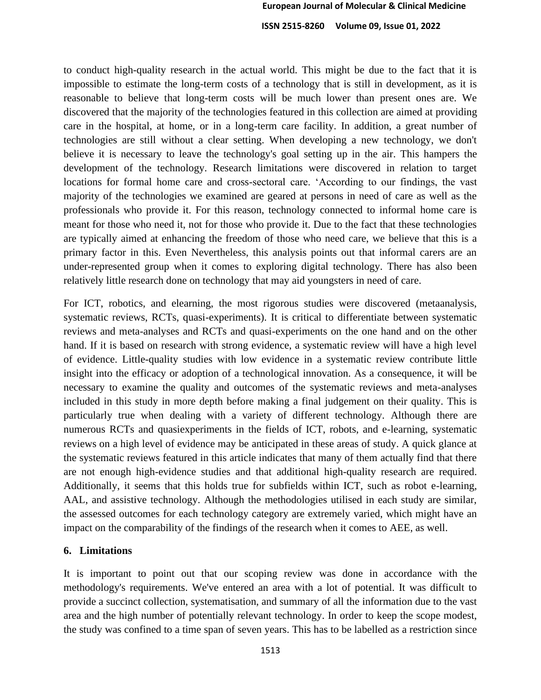to conduct high-quality research in the actual world. This might be due to the fact that it is impossible to estimate the long-term costs of a technology that is still in development, as it is reasonable to believe that long-term costs will be much lower than present ones are. We discovered that the majority of the technologies featured in this collection are aimed at providing care in the hospital, at home, or in a long-term care facility. In addition, a great number of technologies are still without a clear setting. When developing a new technology, we don't believe it is necessary to leave the technology's goal setting up in the air. This hampers the development of the technology. Research limitations were discovered in relation to target locations for formal home care and cross-sectoral care. 'According to our findings, the vast majority of the technologies we examined are geared at persons in need of care as well as the professionals who provide it. For this reason, technology connected to informal home care is meant for those who need it, not for those who provide it. Due to the fact that these technologies are typically aimed at enhancing the freedom of those who need care, we believe that this is a primary factor in this. Even Nevertheless, this analysis points out that informal carers are an under-represented group when it comes to exploring digital technology. There has also been relatively little research done on technology that may aid youngsters in need of care.

For ICT, robotics, and elearning, the most rigorous studies were discovered (metaanalysis, systematic reviews, RCTs, quasi-experiments). It is critical to differentiate between systematic reviews and meta-analyses and RCTs and quasi-experiments on the one hand and on the other hand. If it is based on research with strong evidence, a systematic review will have a high level of evidence. Little-quality studies with low evidence in a systematic review contribute little insight into the efficacy or adoption of a technological innovation. As a consequence, it will be necessary to examine the quality and outcomes of the systematic reviews and meta-analyses included in this study in more depth before making a final judgement on their quality. This is particularly true when dealing with a variety of different technology. Although there are numerous RCTs and quasiexperiments in the fields of ICT, robots, and e-learning, systematic reviews on a high level of evidence may be anticipated in these areas of study. A quick glance at the systematic reviews featured in this article indicates that many of them actually find that there are not enough high-evidence studies and that additional high-quality research are required. Additionally, it seems that this holds true for subfields within ICT, such as robot e-learning, AAL, and assistive technology. Although the methodologies utilised in each study are similar, the assessed outcomes for each technology category are extremely varied, which might have an impact on the comparability of the findings of the research when it comes to AEE, as well.

#### **6. Limitations**

It is important to point out that our scoping review was done in accordance with the methodology's requirements. We've entered an area with a lot of potential. It was difficult to provide a succinct collection, systematisation, and summary of all the information due to the vast area and the high number of potentially relevant technology. In order to keep the scope modest, the study was confined to a time span of seven years. This has to be labelled as a restriction since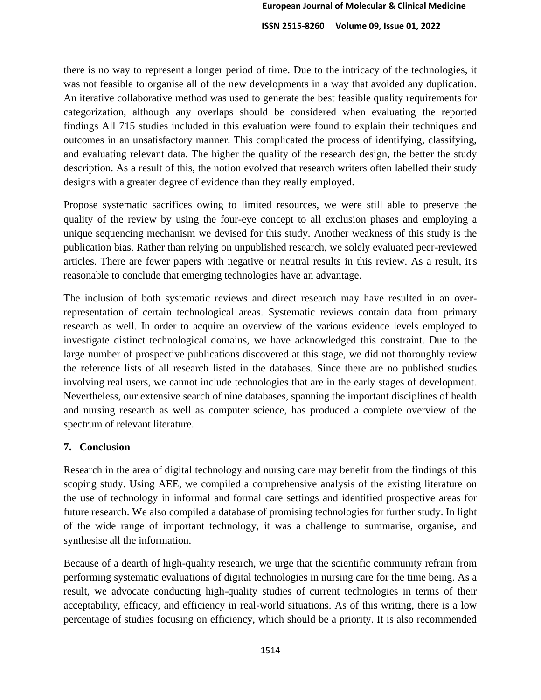there is no way to represent a longer period of time. Due to the intricacy of the technologies, it was not feasible to organise all of the new developments in a way that avoided any duplication. An iterative collaborative method was used to generate the best feasible quality requirements for categorization, although any overlaps should be considered when evaluating the reported findings All 715 studies included in this evaluation were found to explain their techniques and outcomes in an unsatisfactory manner. This complicated the process of identifying, classifying, and evaluating relevant data. The higher the quality of the research design, the better the study description. As a result of this, the notion evolved that research writers often labelled their study designs with a greater degree of evidence than they really employed.

Propose systematic sacrifices owing to limited resources, we were still able to preserve the quality of the review by using the four-eye concept to all exclusion phases and employing a unique sequencing mechanism we devised for this study. Another weakness of this study is the publication bias. Rather than relying on unpublished research, we solely evaluated peer-reviewed articles. There are fewer papers with negative or neutral results in this review. As a result, it's reasonable to conclude that emerging technologies have an advantage.

The inclusion of both systematic reviews and direct research may have resulted in an overrepresentation of certain technological areas. Systematic reviews contain data from primary research as well. In order to acquire an overview of the various evidence levels employed to investigate distinct technological domains, we have acknowledged this constraint. Due to the large number of prospective publications discovered at this stage, we did not thoroughly review the reference lists of all research listed in the databases. Since there are no published studies involving real users, we cannot include technologies that are in the early stages of development. Nevertheless, our extensive search of nine databases, spanning the important disciplines of health and nursing research as well as computer science, has produced a complete overview of the spectrum of relevant literature.

#### **7. Conclusion**

Research in the area of digital technology and nursing care may benefit from the findings of this scoping study. Using AEE, we compiled a comprehensive analysis of the existing literature on the use of technology in informal and formal care settings and identified prospective areas for future research. We also compiled a database of promising technologies for further study. In light of the wide range of important technology, it was a challenge to summarise, organise, and synthesise all the information.

Because of a dearth of high-quality research, we urge that the scientific community refrain from performing systematic evaluations of digital technologies in nursing care for the time being. As a result, we advocate conducting high-quality studies of current technologies in terms of their acceptability, efficacy, and efficiency in real-world situations. As of this writing, there is a low percentage of studies focusing on efficiency, which should be a priority. It is also recommended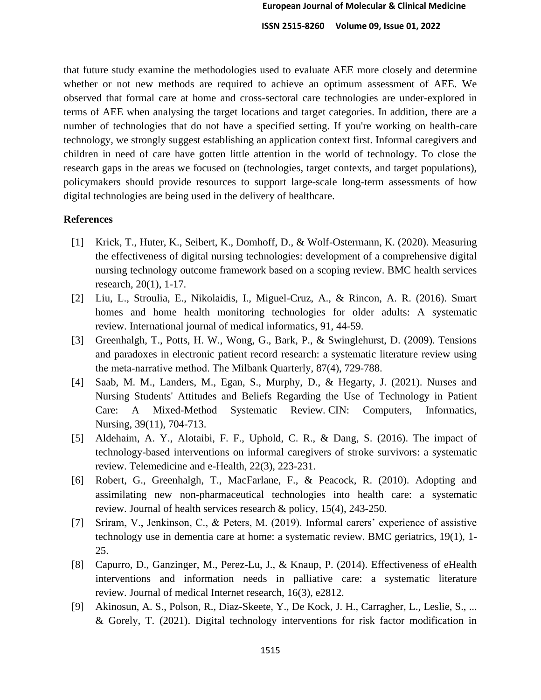that future study examine the methodologies used to evaluate AEE more closely and determine whether or not new methods are required to achieve an optimum assessment of AEE. We observed that formal care at home and cross-sectoral care technologies are under-explored in terms of AEE when analysing the target locations and target categories. In addition, there are a number of technologies that do not have a specified setting. If you're working on health-care technology, we strongly suggest establishing an application context first. Informal caregivers and children in need of care have gotten little attention in the world of technology. To close the research gaps in the areas we focused on (technologies, target contexts, and target populations), policymakers should provide resources to support large-scale long-term assessments of how digital technologies are being used in the delivery of healthcare.

#### **References**

- [1] Krick, T., Huter, K., Seibert, K., Domhoff, D., & Wolf-Ostermann, K. (2020). Measuring the effectiveness of digital nursing technologies: development of a comprehensive digital nursing technology outcome framework based on a scoping review. BMC health services research, 20(1), 1-17.
- [2] Liu, L., Stroulia, E., Nikolaidis, I., Miguel-Cruz, A., & Rincon, A. R. (2016). Smart homes and home health monitoring technologies for older adults: A systematic review. International journal of medical informatics, 91, 44-59.
- [3] Greenhalgh, T., Potts, H. W., Wong, G., Bark, P., & Swinglehurst, D. (2009). Tensions and paradoxes in electronic patient record research: a systematic literature review using the meta‐narrative method. The Milbank Quarterly, 87(4), 729-788.
- [4] Saab, M. M., Landers, M., Egan, S., Murphy, D., & Hegarty, J. (2021). Nurses and Nursing Students' Attitudes and Beliefs Regarding the Use of Technology in Patient Care: A Mixed-Method Systematic Review. CIN: Computers, Informatics, Nursing, 39(11), 704-713.
- [5] Aldehaim, A. Y., Alotaibi, F. F., Uphold, C. R., & Dang, S. (2016). The impact of technology-based interventions on informal caregivers of stroke survivors: a systematic review. Telemedicine and e-Health, 22(3), 223-231.
- [6] Robert, G., Greenhalgh, T., MacFarlane, F., & Peacock, R. (2010). Adopting and assimilating new non-pharmaceutical technologies into health care: a systematic review. Journal of health services research & policy, 15(4), 243-250.
- [7] Sriram, V., Jenkinson, C., & Peters, M. (2019). Informal carers' experience of assistive technology use in dementia care at home: a systematic review. BMC geriatrics, 19(1), 1- 25.
- [8] Capurro, D., Ganzinger, M., Perez-Lu, J., & Knaup, P. (2014). Effectiveness of eHealth interventions and information needs in palliative care: a systematic literature review. Journal of medical Internet research, 16(3), e2812.
- [9] Akinosun, A. S., Polson, R., Diaz-Skeete, Y., De Kock, J. H., Carragher, L., Leslie, S., ... & Gorely, T. (2021). Digital technology interventions for risk factor modification in